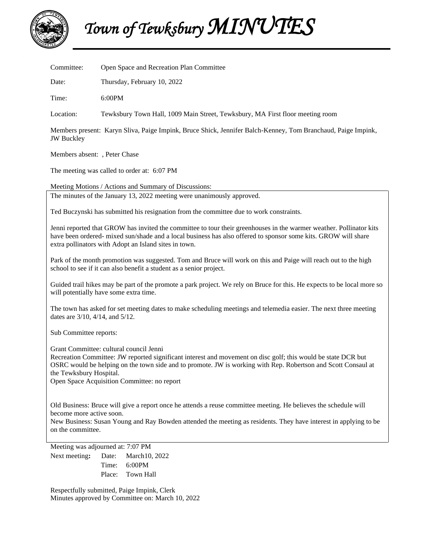

 *Town of Tewksbury MINUTES* 

| Committee:                                                                                                                                                                                                                                                                                                                                          | Open Space and Recreation Plan Committee                                       |
|-----------------------------------------------------------------------------------------------------------------------------------------------------------------------------------------------------------------------------------------------------------------------------------------------------------------------------------------------------|--------------------------------------------------------------------------------|
| Date:                                                                                                                                                                                                                                                                                                                                               | Thursday, February 10, 2022                                                    |
| Time:                                                                                                                                                                                                                                                                                                                                               | 6:00PM                                                                         |
| Location:                                                                                                                                                                                                                                                                                                                                           | Tewksbury Town Hall, 1009 Main Street, Tewksbury, MA First floor meeting room  |
| Members present: Karyn Sliva, Paige Impink, Bruce Shick, Jennifer Balch-Kenney, Tom Branchaud, Paige Impink,<br><b>JW</b> Buckley                                                                                                                                                                                                                   |                                                                                |
| Members absent: , Peter Chase                                                                                                                                                                                                                                                                                                                       |                                                                                |
| The meeting was called to order at: 6:07 PM                                                                                                                                                                                                                                                                                                         |                                                                                |
| Meeting Motions / Actions and Summary of Discussions:                                                                                                                                                                                                                                                                                               |                                                                                |
| The minutes of the January 13, 2022 meeting were unanimously approved.                                                                                                                                                                                                                                                                              |                                                                                |
| Ted Buczynski has submitted his resignation from the committee due to work constraints.                                                                                                                                                                                                                                                             |                                                                                |
| Jenni reported that GROW has invited the committee to tour their greenhouses in the warmer weather. Pollinator kits<br>have been ordered- mixed sun/shade and a local business has also offered to sponsor some kits. GROW will share<br>extra pollinators with Adopt an Island sites in town.                                                      |                                                                                |
| Park of the month promotion was suggested. Tom and Bruce will work on this and Paige will reach out to the high<br>school to see if it can also benefit a student as a senior project.                                                                                                                                                              |                                                                                |
| Guided trail hikes may be part of the promote a park project. We rely on Bruce for this. He expects to be local more so<br>will potentially have some extra time.                                                                                                                                                                                   |                                                                                |
| The town has asked for set meeting dates to make scheduling meetings and telemedia easier. The next three meeting<br>dates are 3/10, 4/14, and 5/12.                                                                                                                                                                                                |                                                                                |
| Sub Committee reports:                                                                                                                                                                                                                                                                                                                              |                                                                                |
| Grant Committee: cultural council Jenni<br>Recreation Committee: JW reported significant interest and movement on disc golf; this would be state DCR but<br>OSRC would be helping on the town side and to promote. JW is working with Rep. Robertson and Scott Consaul at<br>the Tewksbury Hospital.<br>Open Space Acquisition Committee: no report |                                                                                |
| Old Business: Bruce will give a report once he attends a reuse committee meeting. He believes the schedule will<br>become more active soon.<br>New Business: Susan Young and Ray Bowden attended the meeting as residents. They have interest in applying to be<br>on the committee.                                                                |                                                                                |
| Next meeting:                                                                                                                                                                                                                                                                                                                                       | Meeting was adjourned at: 7:07 PM<br>Date:<br>March10, 2022<br>6:00PM<br>Time: |

Respectfully submitted, Paige Impink, Clerk Minutes approved by Committee on: March 10, 2022

Place: Town Hall